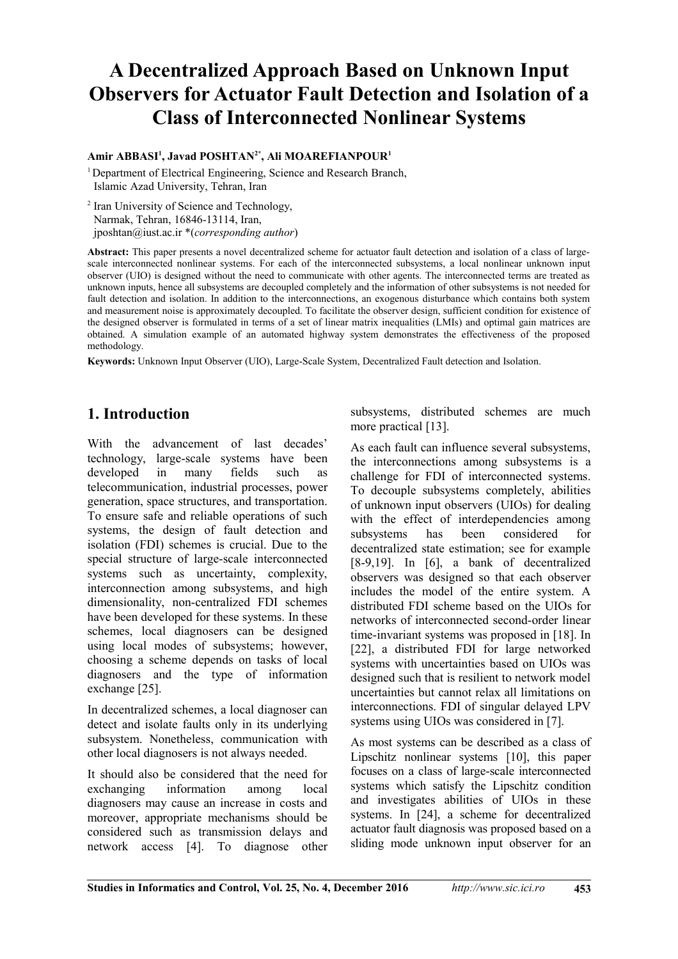# **A Decentralized Approach Based on Unknown Input Observers for Actuator Fault Detection and Isolation of a Class of Interconnected Nonlinear Systems**

#### **Amir ABBASI<sup>1</sup> , Javad POSHTAN2\*, Ali MOAREFIANPOUR<sup>1</sup>**

<sup>1</sup> Department of Electrical Engineering, Science and Research Branch, Islamic Azad University, Tehran, Iran

<sup>2</sup> Iran University of Science and Technology, Narmak, Tehran, 16846-13114, Iran, jposhtan@iust.ac.ir \*(*corresponding author*)

Abstract: This paper presents a novel decentralized scheme for actuator fault detection and isolation of a class of largescale interconnected nonlinear systems. For each of the interconnected subsystems, a local nonlinear unknown input observer (UIO) is designed without the need to communicate with other agents. The interconnected terms are treated as unknown inputs, hence all subsystems are decoupled completely and the information of other subsystems is not needed for fault detection and isolation. In addition to the interconnections, an exogenous disturbance which contains both system and measurement noise is approximately decoupled. To facilitate the observer design, sufficient condition for existence of the designed observer is formulated in terms of a set of linear matrix inequalities (LMIs) and optimal gain matrices are obtained. A simulation example of an automated highway system demonstrates the effectiveness of the proposed methodology.

**Keywords:** Unknown Input Observer (UIO), Large-Scale System, Decentralized Fault detection and Isolation.

# **1. Introduction**

With the advancement of last decades' technology, large-scale systems have been developed in many fields such as telecommunication, industrial processes, power generation, space structures, and transportation. To ensure safe and reliable operations of such systems, the design of fault detection and isolation (FDI) schemes is crucial. Due to the special structure of large-scale interconnected systems such as uncertainty, complexity, interconnection among subsystems, and high dimensionality, non-centralized FDI schemes have been developed for these systems. In these schemes, local diagnosers can be designed using local modes of subsystems; however, choosing a scheme depends on tasks of local diagnosers and the type of information exchange [25].

In decentralized schemes, a local diagnoser can detect and isolate faults only in its underlying subsystem. Nonetheless, communication with other local diagnosers is not always needed.

It should also be considered that the need for exchanging information among local diagnosers may cause an increase in costs and moreover, appropriate mechanisms should be considered such as transmission delays and network access [4]. To diagnose other

subsystems, distributed schemes are much more practical [13].

As each fault can influence several subsystems, the interconnections among subsystems is a challenge for FDI of interconnected systems. To decouple subsystems completely, abilities of unknown input observers (UIOs) for dealing with the effect of interdependencies among subsystems has been considered for decentralized state estimation; see for example  $[8-9,19]$ . In  $[6]$ , a bank of decentralized observers was designed so that each observer includes the model of the entire system. A distributed FDI scheme based on the UIOs for networks of interconnected second-order linear time-invariant systems was proposed in [18]. In [22], a distributed FDI for large networked systems with uncertainties based on UIOs was designed such that is resilient to network model uncertainties but cannot relax all limitations on interconnections. FDI of singular delayed LPV systems using UIOs was considered in [7].

As most systems can be described as a class of Lipschitz nonlinear systems [10], this paper focuses on a class of large-scale interconnected systems which satisfy the Lipschitz condition and investigates abilities of UIOs in these systems. In [24], a scheme for decentralized actuator fault diagnosis was proposed based on a sliding mode unknown input observer for an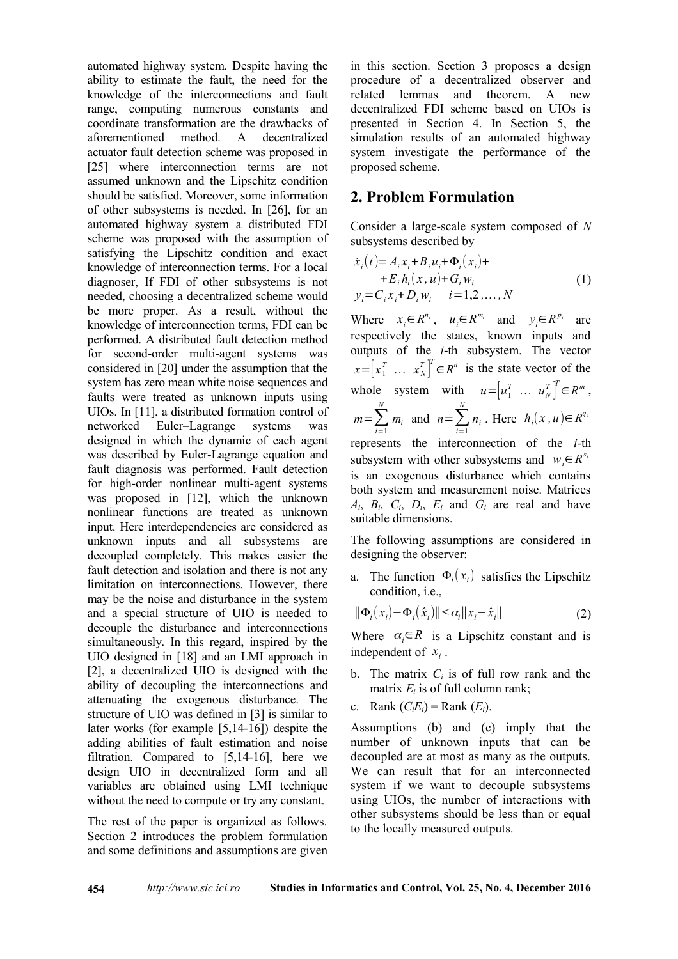automated highway system. Despite having the ability to estimate the fault, the need for the knowledge of the interconnections and fault range, computing numerous constants and coordinate transformation are the drawbacks of aforementioned method. A decentralized actuator fault detection scheme was proposed in [25] where interconnection terms are not assumed unknown and the Lipschitz condition should be satisfied. Moreover, some information of other subsystems is needed. In  $[26]$ , for an automated highway system a distributed FDI scheme was proposed with the assumption of satisfying the Lipschitz condition and exact knowledge of interconnection terms. For a local diagnoser, If FDI of other subsystems is not needed, choosing a decentralized scheme would be more proper. As a result, without the knowledge of interconnection terms, FDI can be performed. A distributed fault detection method for second-order multi-agent systems was considered in  $[20]$  under the assumption that the system has zero mean white noise sequences and faults were treated as unknown inputs using UIOs. In  $[11]$ , a distributed formation control of networked Euler–Lagrange systems was designed in which the dynamic of each agent was described by Euler-Lagrange equation and fault diagnosis was performed. Fault detection for high-order nonlinear multi-agent systems was proposed in  $[12]$ , which the unknown nonlinear functions are treated as unknown input. Here interdependencies are considered as unknown inputs and all subsystems are decoupled completely. This makes easier the fault detection and isolation and there is not any limitation on interconnections. However, there may be the noise and disturbance in the system and a special structure of UIO is needed to decouple the disturbance and interconnections simultaneously. In this regard, inspired by the UIO designed in [18] and an LMI approach in [2], a decentralized UIO is designed with the ability of decoupling the interconnections and attenuating the exogenous disturbance. The structure of UIO was defined in [3] is similar to later works (for example  $[5,14-16]$ ) despite the adding abilities of fault estimation and noise filtration. Compared to  $[5,14-16]$ , here we design UIO in decentralized form and all variables are obtained using LMI technique without the need to compute or try any constant.

The rest of the paper is organized as follows. Section 2 introduces the problem formulation and some definitions and assumptions are given in this section. Section 3 proposes a design procedure of a decentralized observer and related lemmas and theorem. A new decentralized FDI scheme based on UIOs is presented in Section 4. In Section 5, the simulation results of an automated highway system investigate the performance of the proposed scheme.

# **2. Problem Formulation**

Consider a large-scale system composed of N subsystems described by

$$
\dot{x}_i(t) = A_i x_i + B_i u_i + \Phi_i(x_i) +\n+ E_i h_i(x, u) + G_i w_i\n y_i = C_i x_i + D_i w_i \qquad i = 1, 2, ..., N
$$
\n(1)

Where  $x_i \in R^{n_i}$ ,  $u_i \in R^{m_i}$  and  $y_i \in R^{p_i}$  are respectively the states, known inputs and outputs of the *i*-th subsystem. The vector  $x = \begin{bmatrix} x_1^T & \dots & x_N^T \end{bmatrix}^T \in R^n$  is the state vector of the whole system with  $u = \begin{bmatrix} u_1^T & \dots & u_N^T \end{bmatrix}^T \in \mathbb{R}^m$ ,  $m=\sum_{i=1}^{N}$  $m_i$  and  $n=\sum_{i=1}^N$  $n_i$ . Here  $h_i(x, u) \in R^{q_i}$ represents the interconnection of the *i*-th subsystem with other subsystems and  $w_i \in R^{s_i}$ is an exogenous disturbance which contains both system and measurement noise. Matrices  $A_i$ ,  $B_i$ ,  $C_i$ ,  $D_i$ ,  $E_i$  and  $G_i$  are real and have

The following assumptions are considered in designing the observer:

a. The function  $\Phi_i(x_i)$  satisfies the Lipschitz condition, i.e.,

$$
\|\Phi_i(x_i) - \Phi_i(\hat{x}_i)\| \le \alpha_i \|x_i - \hat{x}_i\| \tag{2}
$$

Where  $\alpha_i \in R$  is a Lipschitz constant and is independent of  $x_i$ .

- b. The matrix  $C_i$  is of full row rank and the matrix  $E_i$  is of full column rank;
- c. Rank  $(C<sub>i</sub>E<sub>i</sub>)$  = Rank  $(E<sub>i</sub>)$ .

suitable dimensions.

Assumptions (b) and  $(c)$  imply that the number of unknown inputs that can be decoupled are at most as many as the outputs. We can result that for an interconnected system if we want to decouple subsystems using UIOs, the number of interactions with other subsystems should be less than or equal to the locally measured outputs.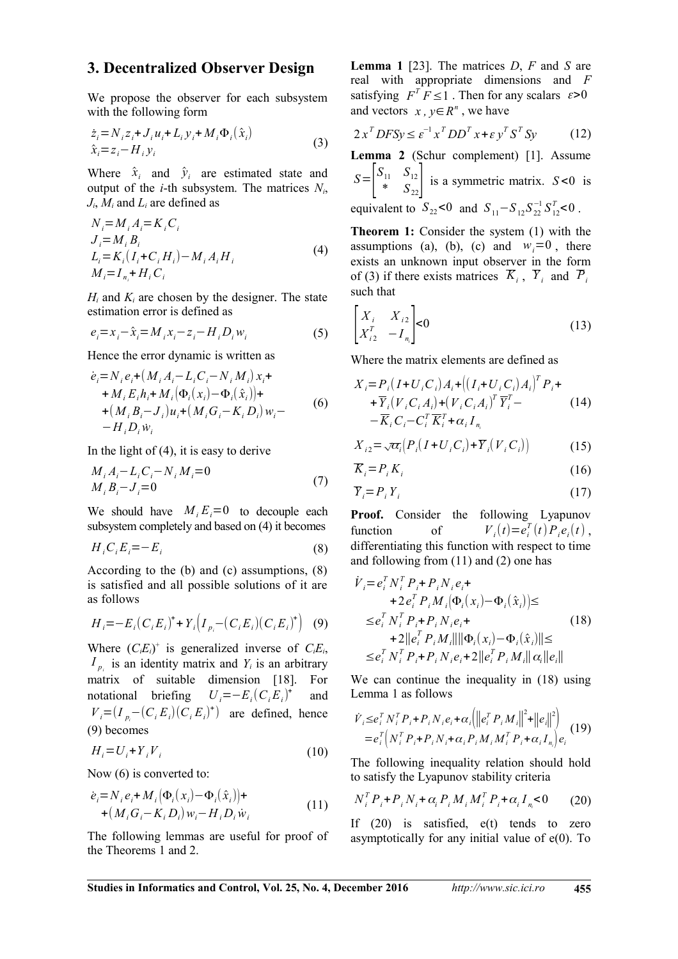### 3. Decentralized Observer Design

We propose the observer for each subsystem with the following form

$$
\dot{z}_i = N_i z_i + J_i u_i + L_i y_i + M_i \Phi_i(\hat{x}_i)
$$
  
\n
$$
\hat{x}_i = z_i - H_i y_i
$$
\n(3)

Where  $\hat{x}_i$  and  $\hat{y}_i$  are estimated state and output of the *i*-th subsystem. The matrices  $N_i$ ,  $J_i$ ,  $M_i$  and  $L_i$  are defined as

$$
N_{i} = M_{i} A_{i} = K_{i} C_{i}
$$
  
\n
$$
J_{i} = M_{i} B_{i}
$$
  
\n
$$
L_{i} = K_{i} (I_{i} + C_{i} H_{i}) - M_{i} A_{i} H_{i}
$$
  
\n
$$
M_{i} = I_{n_{i}} + H_{i} C_{i}
$$
\n(4)

 $H_i$  and  $K_i$  are chosen by the designer. The state estimation error is defined as

$$
e_i = x_i - \hat{x}_i = M_i x_i - z_i - H_i D_i w_i \tag{5}
$$

Hence the error dynamic is written as

$$
\dot{e}_i = N_i e_i + (M_i A_i - L_i C_i - N_i M_i) x_i + M_i E_i h_i + M_i (\Phi_i(x_i) - \Phi_i(\hat{x}_i)) + (M_i B_i - J_i) u_i + (M_i G_i - K_i D_i) w_i - H_i D_i w_i
$$
\n(6)

In the light of  $(4)$ , it is easy to derive

$$
M_i A_i - L_i C_i - N_i M_i = 0
$$
  
\n
$$
M_i B_i - J_i = 0
$$
\n(7)

We should have  $M_i E_i = 0$  to decouple each subsystem completely and based on (4) it becomes

$$
H_i C_i E_i = -E_i \tag{8}
$$

According to the  $(b)$  and  $(c)$  assumptions,  $(8)$ is satisfied and all possible solutions of it are as follows

$$
H_i = -E_i(C_i E_i)^+ + Y_i(I_{p_i} - (C_i E_i)(C_i E_i)^+)
$$
 (9)

Where  $(C_i E_i)^+$  is generalized inverse of  $C_i E_i$ ,  $I_{p_i}$  is an identity matrix and  $Y_i$  is an arbitrary matrix of suitable dimension [18]. For notational briefing  $U_i = -E_i(C_i E_i)^+$ and  $V_i = (I_{p_i} - (C_i E_i)(C_i E_i)^+)$  are defined, hence  $(9)$  becomes

$$
H_i = U_i + Y_i V_i \tag{10}
$$

Now  $(6)$  is converted to:

$$
\dot{e}_i = N_i e_i + M_i \left( \Phi_i(x_i) - \Phi_i(\hat{x}_i) \right) +
$$
  
+ 
$$
\left( M_i G_i - K_i D_i \right) w_i - H_i D_i \dot{w}_i
$$
 (11)

The following lemmas are useful for proof of the Theorems 1 and 2.

**Lemma 1** [23]. The matrices  $D$ ,  $F$  and  $S$  are real with appropriate dimensions and F satisfying  $F^T F \leq 1$ . Then for any scalars  $\varepsilon > 0$ and vectors  $x, y \in R^n$ , we have

$$
2xT DFSy \le \varepsilon^{-1}xTDDTx + \varepsilon yTSTSy
$$
 (12)

Lemma 2 (Schur complement) [1]. Assume  $S = \begin{bmatrix} S_{11} & S_{12} \\ * & S_{22} \end{bmatrix}$  is a symmetric matrix.  $S < 0$  is equivalent to  $S_{22}$ <0 and  $S_{11} - S_{12} S_{22}^{-1} S_{12}^T$  <0.

**Theorem 1:** Consider the system (1) with the assumptions (a), (b), (c) and  $w_i = 0$ , there exists an unknown input observer in the form of (3) if there exists matrices  $\overline{K}_i$ ,  $\overline{Y}_i$  and  $\overline{P}_i$ such that

$$
\begin{bmatrix} X_i & X_{i2} \\ X_{i2}^T & -I_{n_i} \end{bmatrix} < 0
$$
 (13)

Where the matrix elements are defined as

$$
X_i = P_i (I + U_i C_i) A_i + ((I_i + U_i C_i) A_i)^T P_i +
$$
  
+ 
$$
\overline{Y}_i (V_i C_i A_i) + (V_i C_i A_i)^T \overline{Y}_i^T -
$$
  
- 
$$
\overline{K}_i C_i - C_i^T \overline{K}_i^T + \alpha_i I_{n_i}
$$
 (14)

$$
X_{i2} = \sqrt{\alpha_i} \left( P_i \left( I + U_i C_i \right) + \overline{Y}_i \left( V_i C_i \right) \right) \tag{15}
$$

$$
\overline{K}_i = P_i K_i \tag{16}
$$

$$
\overline{Y}_i = P_i Y_i \tag{17}
$$

**Proof.** Consider the following Lyapunov  $V_i(t) = e_i^T(t) P_i e_i(t)$ , function of differentiating this function with respect to time and following from  $(11)$  and  $(2)$  one has

$$
V_{i} = e_{i}^{T} N_{i}^{T} P_{i} + P_{i} N_{i} e_{i} +
$$
  
+2e\_{i}^{T} P\_{i} M\_{i} (\Phi\_{i} (x\_{i}) - \Phi\_{i} (\hat{x}\_{i})) \le  
\n
$$
\le e_{i}^{T} N_{i}^{T} P_{i} + P_{i} N_{i} e_{i} +
$$
  
+2||e\_{i}^{T} P\_{i} M\_{i}|| ||\Phi\_{i} (x\_{i}) - \Phi\_{i} (\hat{x}\_{i})|| \le  
\n
$$
\le e_{i}^{T} N_{i}^{T} P_{i} + P_{i} N_{i} e_{i} + 2||e_{i}^{T} P_{i} M_{i}|| \alpha_{i} ||e_{i}||
$$
\n(18)

We can continue the inequality in (18) using Lemma 1 as follows

$$
\dot{V}_{i} \leq e_{i}^{T} N_{i}^{T} P_{i} + P_{i} N_{i} e_{i} + \alpha_{i} \left\| e_{i}^{T} P_{i} M_{i} \right\|^{2} + \left\| e_{i} \right\|^{2} \right\}
$$
\n
$$
= e_{i}^{T} \left( N_{i}^{T} P_{i} + P_{i} N_{i} + \alpha_{i} P_{i} M_{i} M_{i}^{T} P_{i} + \alpha_{i} I_{n} \right) e_{i} \tag{19}
$$

The following inequality relation should hold to satisfy the Lyapunov stability criteria

$$
N_i^T P_i + P_i N_i + \alpha_i P_i M_i M_i^T P_i + \alpha_i I_{n_i} < 0 \qquad (20)
$$

If  $(20)$  is satisfied,  $e(t)$  tends to zero asymptotically for any initial value of  $e(0)$ . To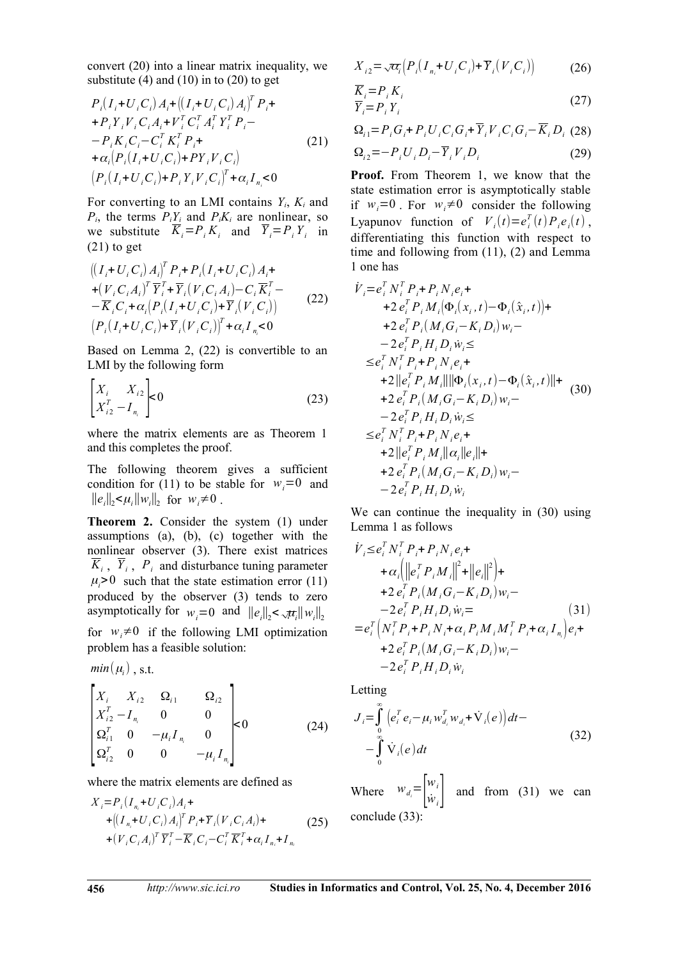convert (20) into a linear matrix inequality, we substitute  $(4)$  and  $(10)$  in to  $(20)$  to get

$$
P_{i}(I_{i}+U_{i}C_{i})A_{i}+(I_{i}+U_{i}C_{i})A_{i})^{T}P_{i}+
$$
  
+
$$
P_{i}Y_{i}V_{i}C_{i}A_{i}+V_{i}^{T}C_{i}^{T}A_{i}^{T}Y_{i}^{T}P_{i}-
$$
  

$$
-P_{i}K_{i}C_{i}-C_{i}^{T}K_{i}^{T}P_{i}+
$$
  
+
$$
\alpha_{i}[P_{i}(I_{i}+U_{i}C_{i})+PY_{i}V_{i}C_{i}]
$$
  

$$
(P_{i}(I_{i}+U_{i}C_{i})+P_{i}Y_{i}V_{i}C_{i})^{T}+\alpha_{i}I_{n_{i}}<0
$$
 (21)

For converting to an LMI contains  $Y_i$ ,  $K_i$  and  $P_i$ , the terms  $P_i \underline{Y_i}$  and  $P_i K_i$  are nonlinear, so we substitute  $\overline{K}_i = P_i K_i$  and  $\overline{Y}_i = P_i Y_i$  in  $(21)$  to get

$$
\begin{array}{l}\n\left( (I_{i} + U_{i} C_{i}) A_{i} \right)^{T} P_{i} + P_{i} (I_{i} + U_{i} C_{i}) A_{i} + \\
+ (V_{i} C_{i} A_{i})^{T} \overline{Y}_{i}^{T} + \overline{Y}_{i} (V_{i} C_{i} A_{i}) - C_{i} \overline{K}_{i}^{T} - \\
- \overline{K}_{i} C_{i} + \alpha_{i} (P_{i} (I_{i} + U_{i} C_{i}) + \overline{Y}_{i} (V_{i} C_{i})) \\
\left( P_{i} (I_{i} + U_{i} C_{i}) + \overline{Y}_{i} (V_{i} C_{i}) \right)^{T} + \alpha_{i} I_{n} < 0\n\end{array} \tag{22}
$$

Based on Lemma 2,  $(22)$  is convertible to an LMI by the following form

$$
\begin{bmatrix} X_i & X_{i2} \\ X_{i2}^T - I_{n_i} \end{bmatrix} \leq 0 \tag{23}
$$

where the matrix elements are as Theorem 1 and this completes the proof.

The following theorem gives a sufficient condition for (11) to be stable for  $w_i = 0$  and  $||e_i||_2 \le \mu_i ||w_i||_2$  for  $w_i \ne 0$ .

Theorem 2. Consider the system (1) under assumptions (a), (b), (c) together with the nonlinear observer (3). There exist matrices  $K_i$ ,  $Y_i$ ,  $P_i$  and disturbance tuning parameter  $\mu_i>0$  such that the state estimation error (11) produced by the observer (3) tends to zero asymptotically for  $w_i = 0$  and  $||e_i||_2 < \sqrt{\mu_i}||w_i||_2$ for  $w_i \neq 0$  if the following LMI optimization problem has a feasible solution:

$$
min(\mu_i)
$$
, s.t.

$$
\begin{bmatrix} X_i & X_{i2} & \Omega_{i1} & \Omega_{i2} \\ X_{i2}^T - I_{n_i} & 0 & 0 \\ \Omega_{i1}^T & 0 & -\mu_i I_{n_i} & 0 \\ \Omega_{i2}^T & 0 & 0 & -\mu_i I_{n_i} \end{bmatrix} < 0
$$
 (24)

where the matrix elements are defined as

$$
X_{i} = P_{i} (I_{n_{i}} + U_{i} C_{i}) A_{i} +
$$
  
+ 
$$
((I_{n_{i}} + U_{i} C_{i}) A_{i})^{T} P_{i} + \overline{Y}_{i} (V_{i} C_{i} A_{i}) +
$$
  
+ 
$$
(V_{i} C_{i} A_{i})^{T} \overline{Y}_{i}^{T} - \overline{K}_{i} C_{i} - C_{i}^{T} \overline{K}_{i}^{T} + \alpha_{i} I_{n_{i}} + I_{n_{i}}
$$
(25)

$$
X_{i2} = \sqrt{\alpha_i} \Big( P_i \big( I_{n_i} + U_i C_i \big) + \overline{Y}_i \big( V_i C_i \big) \Big) \tag{26}
$$

$$
\frac{\overline{K}_i = P_i K_i}{\overline{Y}_i = P_i Y_i}
$$
\n(27)

$$
\Omega_{i1} = P_{i} G_{i} + P_{i} U_{i} C_{i} G_{i} + \overline{Y}_{i} V_{i} C_{i} G_{i} - \overline{K}_{i} D_{i} (28)
$$

$$
\Omega_{i2} = -P_i U_i D_i - \overline{Y}_i V_i D_i \tag{29}
$$

**Proof.** From Theorem 1, we know that the state estimation error is asymptotically stable if  $w_i = 0$ . For  $w_i \neq 0$  consider the following Lyapunov function of  $V_i(t) = e_i^T(t) P_i e_i(t)$ , differentiating this function with respect to time and following from  $(11)$ ,  $(2)$  and Lemma 1 one has

$$
\dot{V}_{i} = e_{i}^{T} N_{i}^{T} P_{i} + P_{i} N_{i} e_{i} +\n+2 e_{i}^{T} P_{i} M_{i} (\Phi_{i} (x_{i}, t) - \Phi_{i} (\hat{x}_{i}, t)) +\n+2 e_{i}^{T} P_{i} (M_{i} G_{i} - K_{i} D_{i}) w_{i} -\n-2 e_{i}^{T} P_{i} H_{i} D_{i} \dot{w}_{i} \le\n\le e_{i}^{T} N_{i}^{T} P_{i} + P_{i} N_{i} e_{i} +\n+2 \| e_{i}^{T} P_{i} M_{i} \| \| \Phi_{i} (x_{i}, t) - \Phi_{i} (\hat{x}_{i}, t) \| +\n+2 e_{i}^{T} P_{i} (M_{i} G_{i} - K_{i} D_{i}) w_{i} -\n-2 e_{i}^{T} P_{i} H_{i} D_{i} \dot{w}_{i} \le\n\le e_{i}^{T} N_{i}^{T} P_{i} + P_{i} N_{i} e_{i} +\n+2 \| e_{i}^{T} P_{i} M_{i} \| \alpha_{i} \| e_{i} \| +\n+2 e_{i}^{T} P_{i} (M_{i} G_{i} - K_{i} D_{i}) w_{i} -\n-2 e_{i}^{T} P_{i} H_{i} D_{i} \dot{w}_{i}
$$

We can continue the inequality in (30) using Lemma 1 as follows

$$
\dot{V}_{i} \leq e_{i}^{T} N_{i}^{T} P_{i} + P_{i} N_{i} e_{i} +
$$
\n
$$
+ \alpha_{i} (\left\| e_{i}^{T} P_{i} M_{i} \right\|^{2} + \left\| e_{i} \right\|^{2}) +
$$
\n
$$
+ 2 e_{i}^{T} P_{i} (M_{i} G_{i} - K_{i} D_{i}) w_{i} -
$$
\n
$$
- 2 e_{i}^{T} P_{i} H_{i} D_{i} w_{i} =
$$
\n
$$
= e_{i}^{T} \left( N_{i}^{T} P_{i} + P_{i} N_{i} + \alpha_{i} P_{i} M_{i} M_{i}^{T} P_{i} + \alpha_{i} I_{n} \right) e_{i} +
$$
\n
$$
+ 2 e_{i}^{T} P_{i} (M_{i} G_{i} - K_{i} D_{i}) w_{i} -
$$
\n
$$
- 2 e_{i}^{T} P_{i} H_{i} D_{i} w_{i}
$$
\n(31)

Letting

$$
J_{i} = \int_{0}^{\infty} \left( e_{i}^{T} e_{i} - \mu_{i} w_{d_{i}}^{T} w_{d_{i}} + \dot{V}_{i}(e) \right) dt -
$$
  
 
$$
- \int_{0}^{\infty} \dot{V}_{i}(e) dt
$$
 (32)

Where  $w_{d_i} = \begin{vmatrix} w_i \\ \dot{w}_i \end{vmatrix}$  and from (31) we can conclude (33):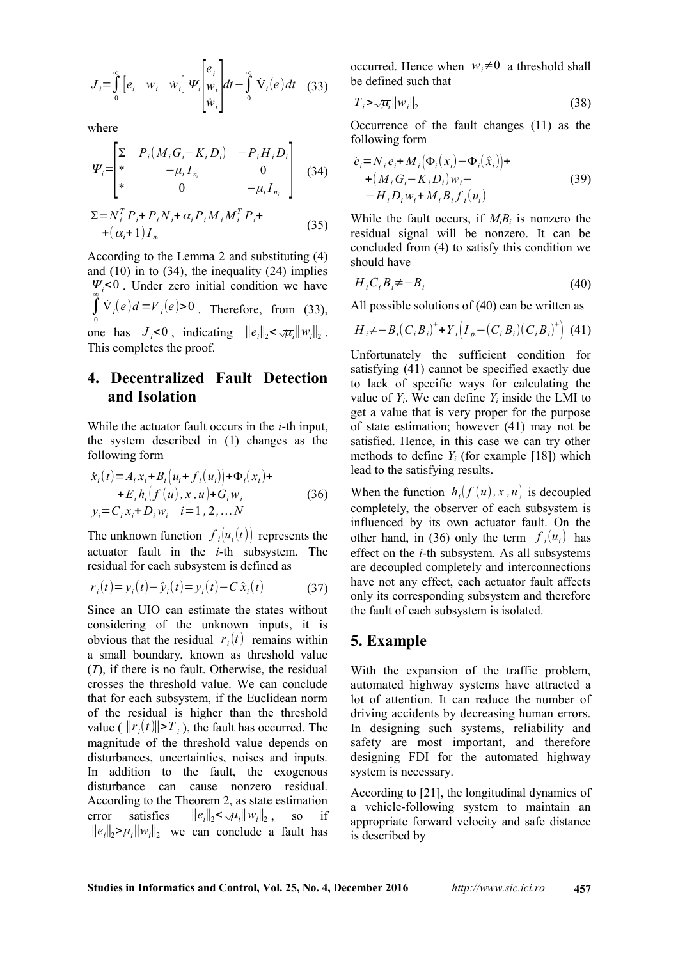$$
J_i = \int_0^\infty \left[ e_i \quad w_i \quad \dot{w}_i \right] \Psi_i \begin{bmatrix} e_i \\ w_i \\ \dot{w}_i \end{bmatrix} dt - \int_0^\infty \dot{V}_i(e) dt \quad (33)
$$

where

$$
\Psi_{i} = \begin{bmatrix} \Sigma & P_{i}(M_{i}G_{i} - K_{i}D_{i}) & -P_{i}H_{i}D_{i} \\ * & -\mu_{i}I_{n_{i}} & 0 \\ * & 0 & -\mu_{i}I_{n_{i}} \end{bmatrix}
$$
 (34)

$$
\Sigma = N_i^T P_i + P_i N_i + \alpha_i P_i M_i M_i^T P_i +
$$
  
+ 
$$
(\alpha_i + 1) I_{n_i}
$$
 (35)

According to the Lemma 2 and substituting (4) and  $(10)$  in to  $(34)$ , the inequality  $(24)$  implies  $\Psi_{i}$ <0. Under zero initial condition we have  $\int \dot{V}_i(e)d=V_i(e)$  > 0. Therefore, from (33), one has  $J_i < 0$ , indicating  $||e_i||_2 < \sqrt{\mu_i}||w_i||_2$ . This completes the proof.

# 4. Decentralized Fault Detection and Isolation

While the actuator fault occurs in the  $i$ -th input, the system described in (1) changes as the following form

$$
\dot{x}_i(t) = A_i x_i + B_i \left( u_i + f_i(u_i) \right) + \Phi_i(x_i) +\n+ E_i h_i \left( f(u), x, u \right) + G_i w_i \n y_i = C_i x_i + D_i w_i \quad i = 1, 2, ... N
$$
\n(36)

The unknown function  $f_i(u_i(t))$  represents the actuator fault in the *i*-th subsystem. The residual for each subsystem is defined as

$$
r_i(t) = y_i(t) - \hat{y}_i(t) = y_i(t) - C \hat{x}_i(t)
$$
 (37)

Since an UIO can estimate the states without considering of the unknown inputs, it is obvious that the residual  $r_i(t)$  remains within a small boundary, known as threshold value  $(T)$ , if there is no fault. Otherwise, the residual crosses the threshold value. We can conclude that for each subsystem, if the Euclidean norm of the residual is higher than the threshold value ( $||r_i(t)|| > T_i$ ), the fault has occurred. The magnitude of the threshold value depends on disturbances, uncertainties, noises and inputs. In addition to the fault, the exogenous disturbance can cause nonzero residual. According to the Theorem 2, as state estimation error satisfies  $||e_i||_2 < \sqrt{\mu_i}||w_i||_2$ ,  $SO<sub>2</sub>$  $if$  $||e||_2 > \mu$ ,  $||w||_2$  we can conclude a fault has

occurred. Hence when  $w_i \neq 0$  a threshold shall be defined such that

$$
T_i \geq \sqrt{\mu_i} \|w_i\|_2 \tag{38}
$$

Occurrence of the fault changes (11) as the following form

$$
\dot{e}_i = N_i e_i + M_i (\Phi_i(x_i) - \Phi_i(\hat{x}_i)) +
$$
  
+  $(M_i G_i - K_i D_i) w_i -$   
-  $H_i D_i w_i + M_i B_i f_i(u_i)$  (39)

While the fault occurs, if  $M_iB_i$  is nonzero the residual signal will be nonzero. It can be concluded from (4) to satisfy this condition we should have

$$
H_i C_i B_i \neq -B_i \tag{40}
$$

All possible solutions of  $(40)$  can be written as

$$
H_{i} \neq -B_{i}(C_{i}B_{i})^{+} + Y_{i}(I_{p_{i}} - (C_{i}B_{i})(C_{i}B_{i})^{+})
$$
 (41)

Unfortunately the sufficient condition for satisfying (41) cannot be specified exactly due to lack of specific ways for calculating the value of  $Y_i$ . We can define  $Y_i$  inside the LMI to get a value that is very proper for the purpose of state estimation; however (41) may not be satisfied. Hence, in this case we can try other methods to define  $Y_i$  (for example [18]) which lead to the satisfying results.

When the function  $h_i(f(u), x, u)$  is decoupled completely, the observer of each subsystem is influenced by its own actuator fault. On the other hand, in (36) only the term  $f_i(u_i)$  has effect on the *i*-th subsystem. As all subsystems are decoupled completely and interconnections have not any effect, each actuator fault affects only its corresponding subsystem and therefore the fault of each subsystem is isolated.

## 5. Example

With the expansion of the traffic problem, automated highway systems have attracted a lot of attention. It can reduce the number of driving accidents by decreasing human errors. In designing such systems, reliability and safety are most important, and therefore designing FDI for the automated highway system is necessary.

According to [21], the longitudinal dynamics of a vehicle-following system to maintain an appropriate forward velocity and safe distance is described by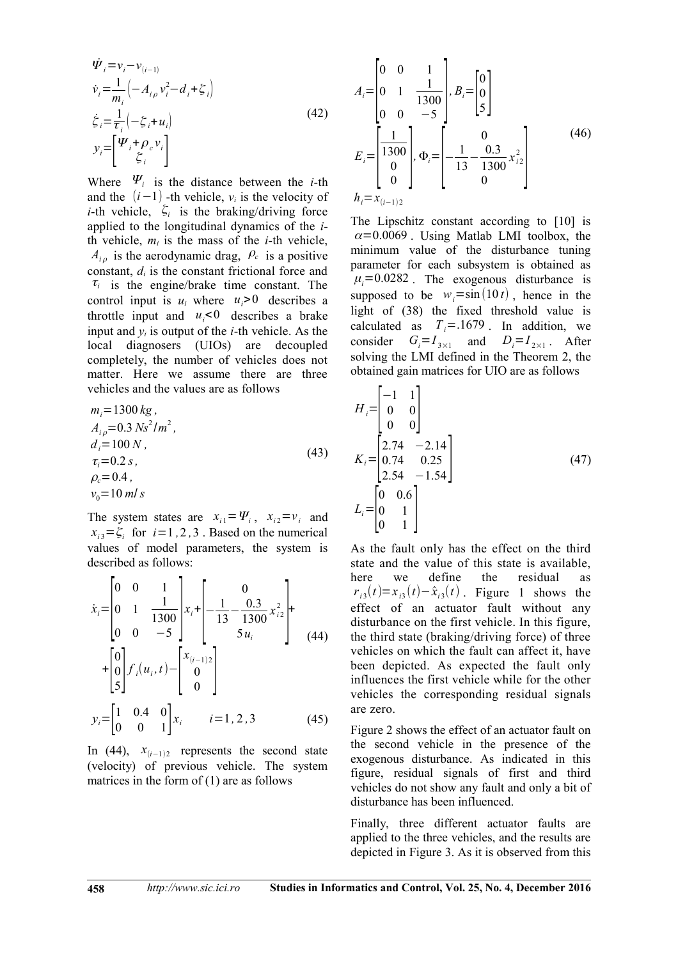$$
\dot{\Psi}_i = v_i - v_{(i-1)} \n\dot{v}_i = \frac{1}{m_i} \left( -A_{i\rho} v_i^2 - d_i + \zeta_i \right) \n\dot{\zeta}_i = \frac{1}{\tau_i} \left( -\zeta_i + u_i \right) \n y_i = \left[ \frac{\Psi_i + \rho_c v_i}{\zeta_i} \right]
$$
\n(42)

Where  $\Psi_i$  is the distance between the *i*-th and the  $(i-1)$  -th vehicle,  $v_i$  is the velocity of *i*-th vehicle,  $\zeta_i$  is the braking/driving force applied to the longitudinal dynamics of the  $i$ th vehicle,  $m_i$  is the mass of the *i*-th vehicle,  $A_{i\rho}$  is the aerodynamic drag,  $\rho_c$  is a positive constant,  $d_i$  is the constant frictional force and  $\tau_i$  is the engine/brake time constant. The control input is  $u_i$  where  $u_i > 0$  describes a throttle input and  $u_i < 0$  describes a brake input and  $y_i$  is output of the *i*-th vehicle. As the local diagnosers (UIOs) are decoupled completely, the number of vehicles does not matter. Here we assume there are three vehicles and the values are as follows

$$
m_i = 1300 kg,\nA_{i\rho} = 0.3 Ns^2/m^2,\nd_i = 100 N,\n\tau_i = 0.2 s,\n\rho_c = 0.4,\nV_0 = 10 m/s
$$
\n(43)

The system states are  $x_{i1} = \Psi_i$ ,  $x_{i2} = v_i$  and  $x_{i3} = \xi_{i}$  for  $i = 1, 2, 3$ . Based on the numerical values of model parameters, the system is described as follows:

$$
\dot{x}_{i} = \begin{bmatrix} 0 & 0 & 1 \\ 0 & 1 & \frac{1}{1300} \\ 0 & 0 & -5 \end{bmatrix} x_{i} + \begin{bmatrix} 0 \\ -\frac{1}{13} - \frac{0.3}{1300} x_{i2}^{2} \\ 5 u_{i} \end{bmatrix} + \begin{bmatrix} 0 \\ 0 \\ 0 \\ 5 \end{bmatrix} f_{i}(u_{i}, t) - \begin{bmatrix} x_{(i-1)2} \\ 0 \\ 0 \end{bmatrix}
$$
\n
$$
y_{i} = \begin{bmatrix} 1 & 0.4 & 0 \\ 0 & 0 & 1 \end{bmatrix} x_{i} \qquad i = 1, 2, 3 \qquad (45)
$$

In (44),  $x_{(i-1)2}$  represents the second state (velocity) of previous vehicle. The system matrices in the form of  $(1)$  are as follows

$$
A_{i} = \begin{bmatrix} 0 & 0 & 1 \\ 0 & 1 & \frac{1}{1300} \\ 0 & 0 & -5 \end{bmatrix}, B_{i} = \begin{bmatrix} 0 \\ 0 \\ 5 \end{bmatrix}
$$
  
\n
$$
E_{i} = \begin{bmatrix} \frac{1}{1300} \\ 0 \\ 0 \\ 0 \end{bmatrix}, \Phi_{i} = \begin{bmatrix} 0 \\ -\frac{1}{13} - \frac{0.3}{1300} x_{i2}^{2} \\ 0 \\ 0 \end{bmatrix}
$$
 (46)  
\n
$$
h_{i} = x_{(i-1)2}
$$

The Lipschitz constant according to [10] is  $\alpha$ =0.0069. Using Matlab LMI toolbox, the minimum value of the disturbance tuning parameter for each subsystem is obtained as  $\mu_i = 0.0282$ . The exogenous disturbance is supposed to be  $w_i = \sin(10 t)$ , hence in the light of (38) the fixed threshold value is calculated as  $T_i = .1679$ . In addition, we consider  $G_i = I_{3 \times 1}$  and  $D_i = I_{2 \times 1}$ . After solving the LMI defined in the Theorem 2, the obtained gain matrices for UIO are as follows

 $\mathbf{r}$ 

$$
H_{i} = \begin{bmatrix} -1 & 1 \\ 0 & 0 \\ 0 & 0 \end{bmatrix}
$$
  
\n
$$
K_{i} = \begin{bmatrix} 2.74 & -2.14 \\ 0.74 & 0.25 \\ 2.54 & -1.54 \end{bmatrix}
$$
  
\n
$$
L_{i} = \begin{bmatrix} 0 & 0.6 \\ 0 & 1 \\ 0 & 1 \end{bmatrix}
$$
 (47)

As the fault only has the effect on the third state and the value of this state is available. here we define the residual **as**  $r_{i3}(t) = x_{i3}(t) - \hat{x}_{i3}(t)$ . Figure 1 shows the effect of an actuator fault without any disturbance on the first vehicle. In this figure, the third state (braking/driving force) of three vehicles on which the fault can affect it, have been depicted. As expected the fault only influences the first vehicle while for the other vehicles the corresponding residual signals are zero.

Figure 2 shows the effect of an actuator fault on the second vehicle in the presence of the exogenous disturbance. As indicated in this figure, residual signals of first and third vehicles do not show any fault and only a bit of disturbance has been influenced.

Finally, three different actuator faults are applied to the three vehicles, and the results are depicted in Figure 3. As it is observed from this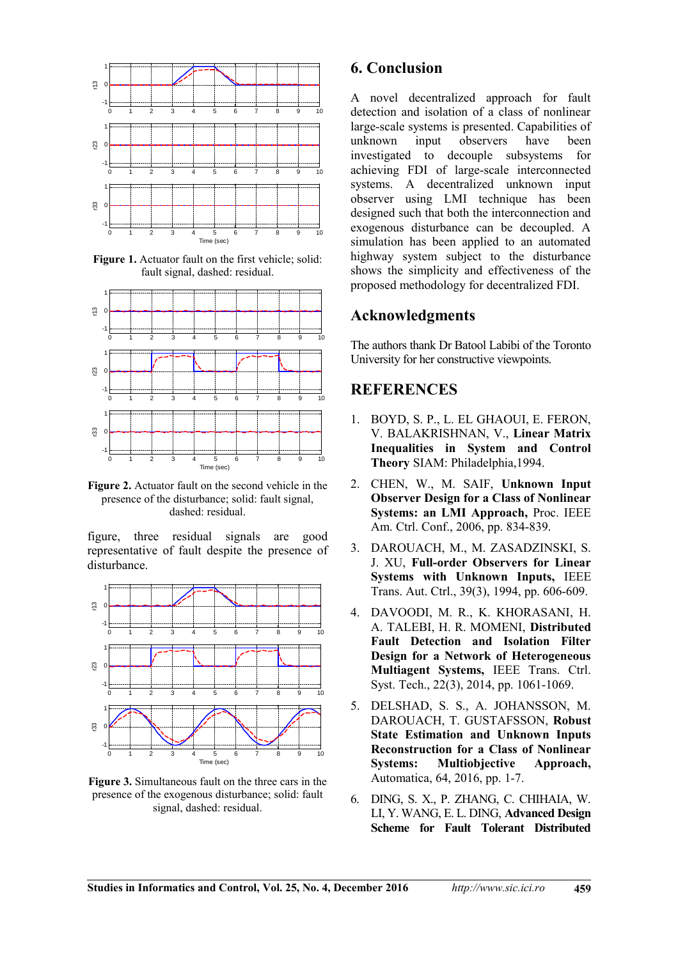

Figure 1. Actuator fault on the first vehicle; solid: fault signal, dashed: residual.



Figure 2. Actuator fault on the second vehicle in the presence of the disturbance; solid: fault signal, dashed: residual.

figure, three residual signals are good representative of fault despite the presence of disturbance.



**Figure 3.** Simultaneous fault on the three cars in the presence of the exogenous disturbance; solid: fault signal, dashed: residual.

# **6. Conclusion**

A novel decentralized approach for fault detection and isolation of a class of nonlinear large-scale systems is presented. Capabilities of unknown input observers have been investigated to decouple subsystems for achieving FDI of large-scale interconnected systems. A decentralized unknown input observer using LMI technique has been designed such that both the interconnection and exogenous disturbance can be decoupled. A simulation has been applied to an automated highway system subject to the disturbance shows the simplicity and effectiveness of the proposed methodology for decentralized FDI.

#### **Acknowledgments**

The authors thank Dr Batool Labibi of the Toronto University for her constructive viewpoints.

### **REFERENCES**

- 1. BOYD, S. P., L. EL GHAOUI, E. FERON, V. BALAKRISHNAN, V., Linear Matrix **Inequalities in System and Control Theory** SIAM: Philadelphia, 1994.
- 2. CHEN, W., M. SAIF, Unknown Input **Observer Design for a Class of Nonlinear Systems: an LMI Approach, Proc. IEEE** Am. Ctrl. Conf., 2006, pp. 834-839.
- 3. DAROUACH, M., M. ZASADZINSKI, S. [.iXU, i**Full-order Observers for Linear Systems with Unknown Inputs, IEEE** Trans. Aut. Ctrl., 39(3), 1994, pp. 606-609.
- 4. DAVOODI, M. R., K. KHORASANI, H. A. TALEBI, H. R. MOMENI, Distributed **Fault Detection and Isolation Filter Design for a Network of Heterogeneous Multiagent Systems, IEEE Trans. Ctrl.** Syst. Tech., 22(3), 2014, pp. 1061-1069.
- 5. DELSHAD, S. S., A. JOHANSSON, M. DAROUACH, T. GUSTAFSSON, Robust **State Estimation and Unknown Inputs Reconstruction for a Class of Nonlinear Systems: Multiobjective Approach,** Automatica, 64, 2016, pp. 1-7.
- 6. DING, S. X., P. ZHANG, C. CHIHAIA, W. LI, Y. WANG, E. L. DING, Advanced Design **Scheme for Fault Tolerant Distributed**